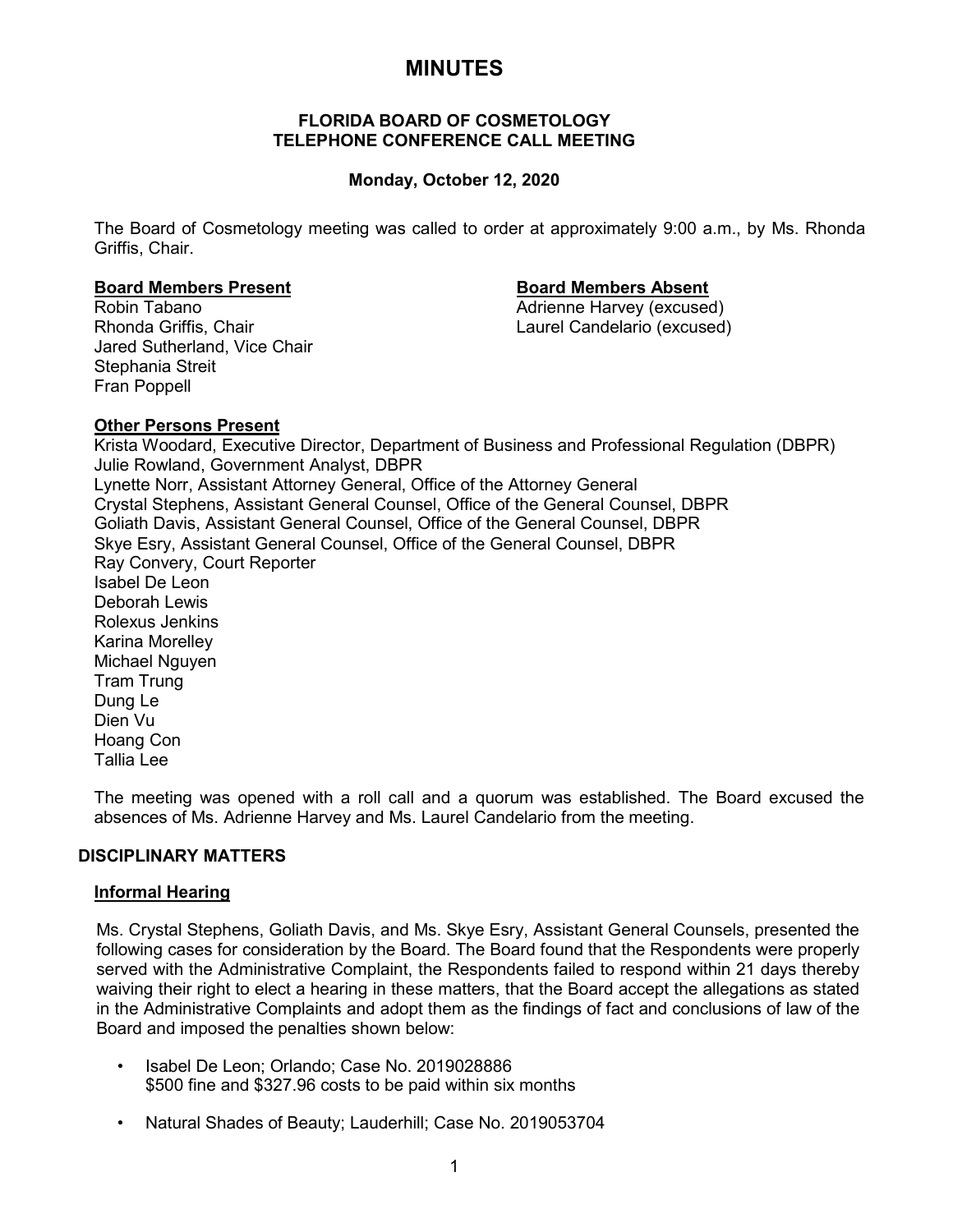# **MINUTES**

### **FLORIDA BOARD OF COSMETOLOGY TELEPHONE CONFERENCE CALL MEETING**

# **Monday, October 12, 2020**

The Board of Cosmetology meeting was called to order at approximately 9:00 a.m., by Ms. Rhonda Griffis, Chair.

#### **Board Members Present Board Members Absent**

Robin Tabano Adrienne Harvey (excused) Jared Sutherland, Vice Chair Stephania Streit Fran Poppell

Laurel Candelario (excused)

# **Other Persons Present**

Krista Woodard, Executive Director, Department of Business and Professional Regulation (DBPR) Julie Rowland, Government Analyst, DBPR Lynette Norr, Assistant Attorney General, Office of the Attorney General Crystal Stephens, Assistant General Counsel, Office of the General Counsel, DBPR Goliath Davis, Assistant General Counsel, Office of the General Counsel, DBPR Skye Esry, Assistant General Counsel, Office of the General Counsel, DBPR Ray Convery, Court Reporter Isabel De Leon Deborah Lewis Rolexus Jenkins Karina Morelley Michael Nguyen Tram Trung Dung Le Dien Vu Hoang Con Tallia Lee

The meeting was opened with a roll call and a quorum was established. The Board excused the absences of Ms. Adrienne Harvey and Ms. Laurel Candelario from the meeting.

# **DISCIPLINARY MATTERS**

#### **Informal Hearing**

Ms. Crystal Stephens, Goliath Davis, and Ms. Skye Esry, Assistant General Counsels, presented the following cases for consideration by the Board. The Board found that the Respondents were properly served with the Administrative Complaint, the Respondents failed to respond within 21 days thereby waiving their right to elect a hearing in these matters, that the Board accept the allegations as stated in the Administrative Complaints and adopt them as the findings of fact and conclusions of law of the Board and imposed the penalties shown below:

- Isabel De Leon; Orlando; Case No. 2019028886 \$500 fine and \$327.96 costs to be paid within six months
- Natural Shades of Beauty; Lauderhill; Case No. 2019053704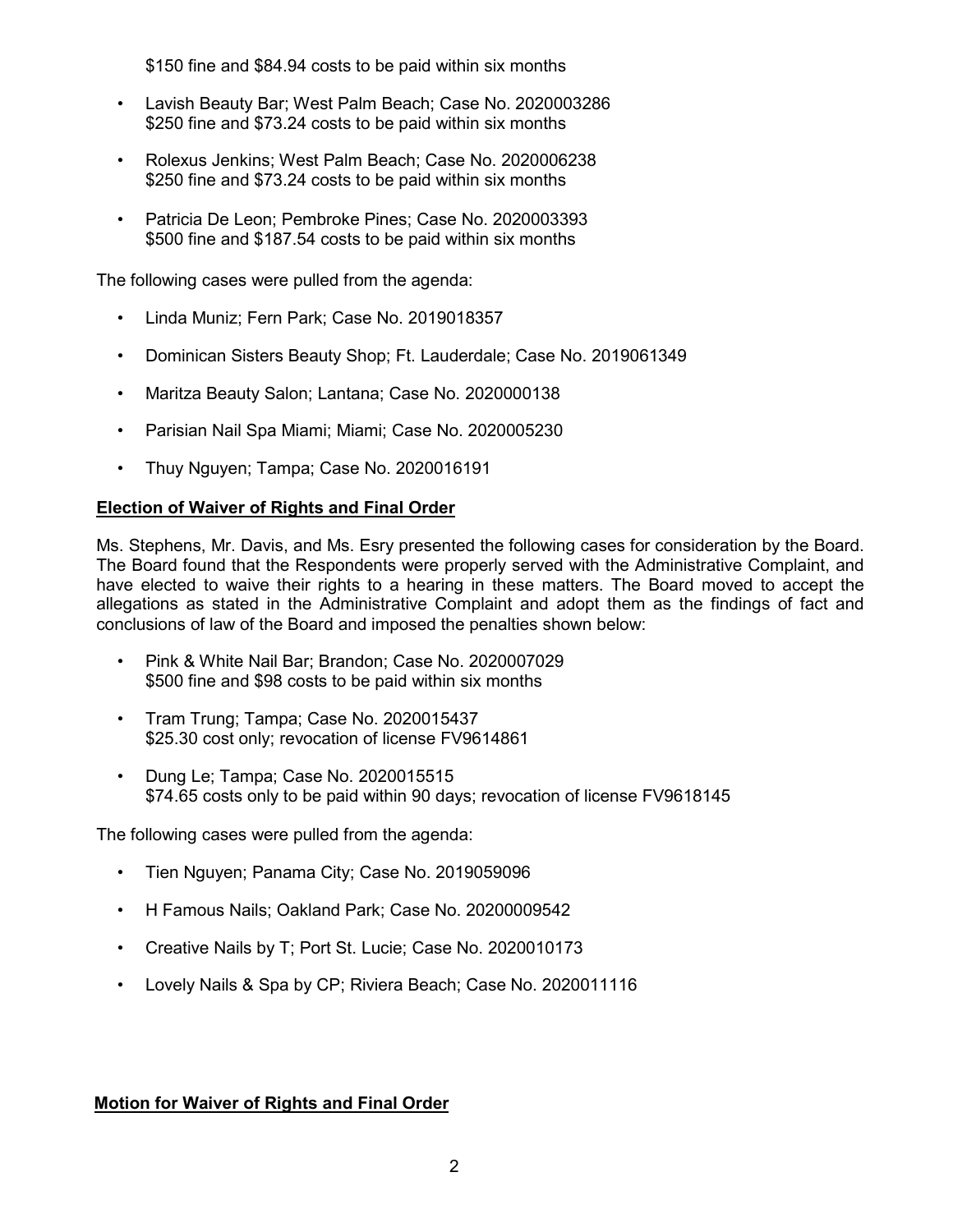\$150 fine and \$84.94 costs to be paid within six months

- Lavish Beauty Bar; West Palm Beach; Case No. 2020003286 \$250 fine and \$73.24 costs to be paid within six months
- Rolexus Jenkins; West Palm Beach; Case No. 2020006238 \$250 fine and \$73.24 costs to be paid within six months
- Patricia De Leon; Pembroke Pines; Case No. 2020003393 \$500 fine and \$187.54 costs to be paid within six months

The following cases were pulled from the agenda:

- Linda Muniz; Fern Park; Case No. 2019018357
- Dominican Sisters Beauty Shop; Ft. Lauderdale; Case No. 2019061349
- Maritza Beauty Salon; Lantana; Case No. 2020000138
- Parisian Nail Spa Miami; Miami; Case No. 2020005230
- Thuy Nguyen; Tampa; Case No. 2020016191

# **Election of Waiver of Rights and Final Order**

Ms. Stephens, Mr. Davis, and Ms. Esry presented the following cases for consideration by the Board. The Board found that the Respondents were properly served with the Administrative Complaint, and have elected to waive their rights to a hearing in these matters. The Board moved to accept the allegations as stated in the Administrative Complaint and adopt them as the findings of fact and conclusions of law of the Board and imposed the penalties shown below:

- Pink & White Nail Bar; Brandon; Case No. 2020007029 \$500 fine and \$98 costs to be paid within six months
- Tram Trung; Tampa; Case No. 2020015437 \$25.30 cost only; revocation of license FV9614861
- Dung Le; Tampa; Case No. 2020015515 \$74.65 costs only to be paid within 90 days; revocation of license FV9618145

The following cases were pulled from the agenda:

- Tien Nguyen; Panama City; Case No. 2019059096
- H Famous Nails; Oakland Park; Case No. 20200009542
- Creative Nails by T; Port St. Lucie; Case No. 2020010173
- Lovely Nails & Spa by CP; Riviera Beach; Case No. 2020011116

# **Motion for Waiver of Rights and Final Order**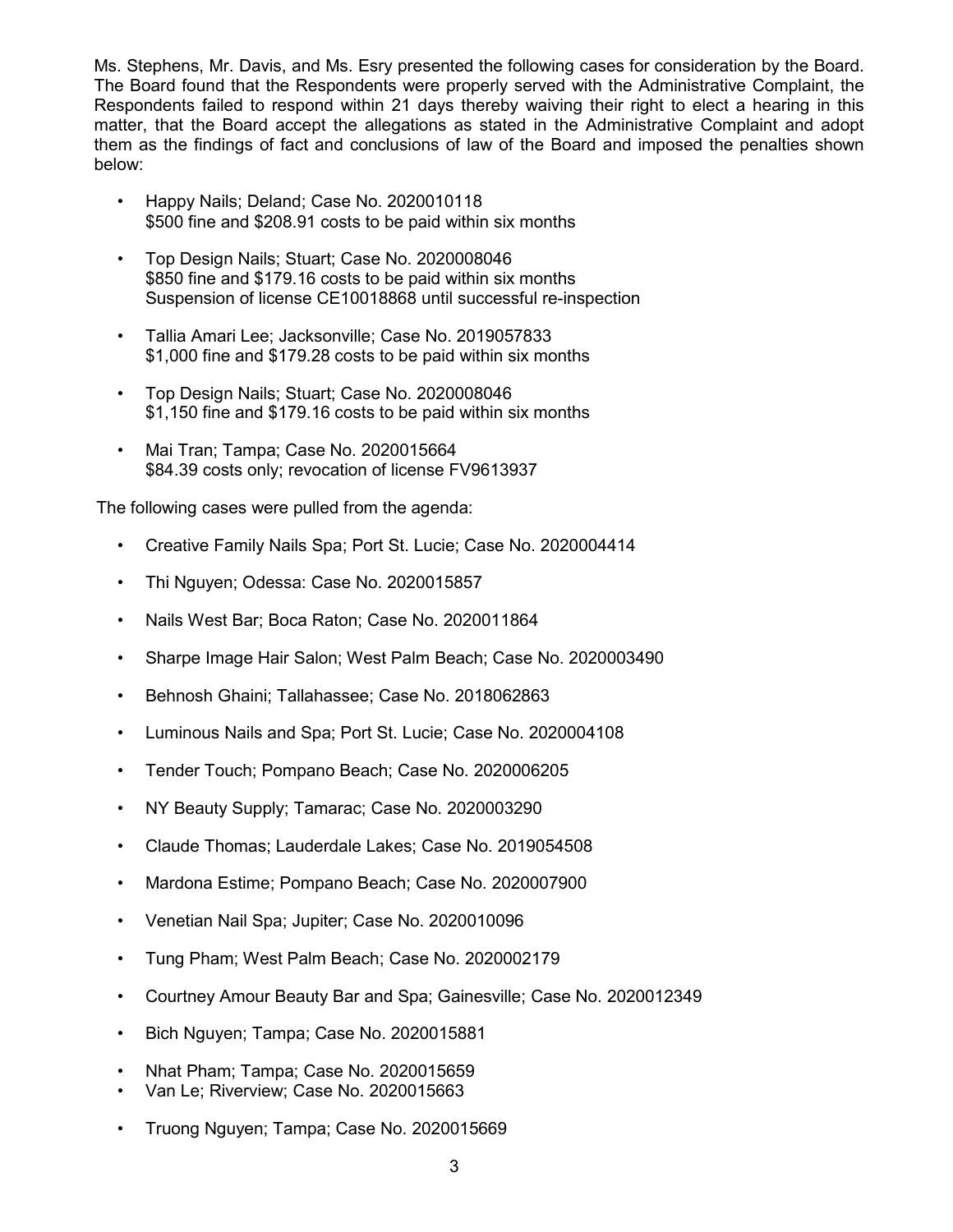Ms. Stephens, Mr. Davis, and Ms. Esry presented the following cases for consideration by the Board. The Board found that the Respondents were properly served with the Administrative Complaint, the Respondents failed to respond within 21 days thereby waiving their right to elect a hearing in this matter, that the Board accept the allegations as stated in the Administrative Complaint and adopt them as the findings of fact and conclusions of law of the Board and imposed the penalties shown below:

- Happy Nails; Deland; Case No. 2020010118 \$500 fine and \$208.91 costs to be paid within six months
- Top Design Nails; Stuart; Case No. 2020008046 \$850 fine and \$179.16 costs to be paid within six months Suspension of license CE10018868 until successful re-inspection
- Tallia Amari Lee; Jacksonville; Case No. 2019057833 \$1,000 fine and \$179.28 costs to be paid within six months
- Top Design Nails; Stuart; Case No. 2020008046 \$1,150 fine and \$179.16 costs to be paid within six months
- Mai Tran; Tampa; Case No. 2020015664 \$84.39 costs only; revocation of license FV9613937

The following cases were pulled from the agenda:

- Creative Family Nails Spa; Port St. Lucie; Case No. 2020004414
- Thi Nguyen; Odessa: Case No. 2020015857
- Nails West Bar; Boca Raton; Case No. 2020011864
- Sharpe Image Hair Salon; West Palm Beach; Case No. 2020003490
- Behnosh Ghaini; Tallahassee; Case No. 2018062863
- Luminous Nails and Spa; Port St. Lucie; Case No. 2020004108
- Tender Touch; Pompano Beach; Case No. 2020006205
- NY Beauty Supply; Tamarac; Case No. 2020003290
- Claude Thomas; Lauderdale Lakes; Case No. 2019054508
- Mardona Estime; Pompano Beach; Case No. 2020007900
- Venetian Nail Spa; Jupiter; Case No. 2020010096
- Tung Pham; West Palm Beach; Case No. 2020002179
- Courtney Amour Beauty Bar and Spa; Gainesville; Case No. 2020012349
- Bich Nguyen; Tampa; Case No. 2020015881
- Nhat Pham; Tampa; Case No. 2020015659
- Van Le; Riverview; Case No. 2020015663
- Truong Nguyen; Tampa; Case No. 2020015669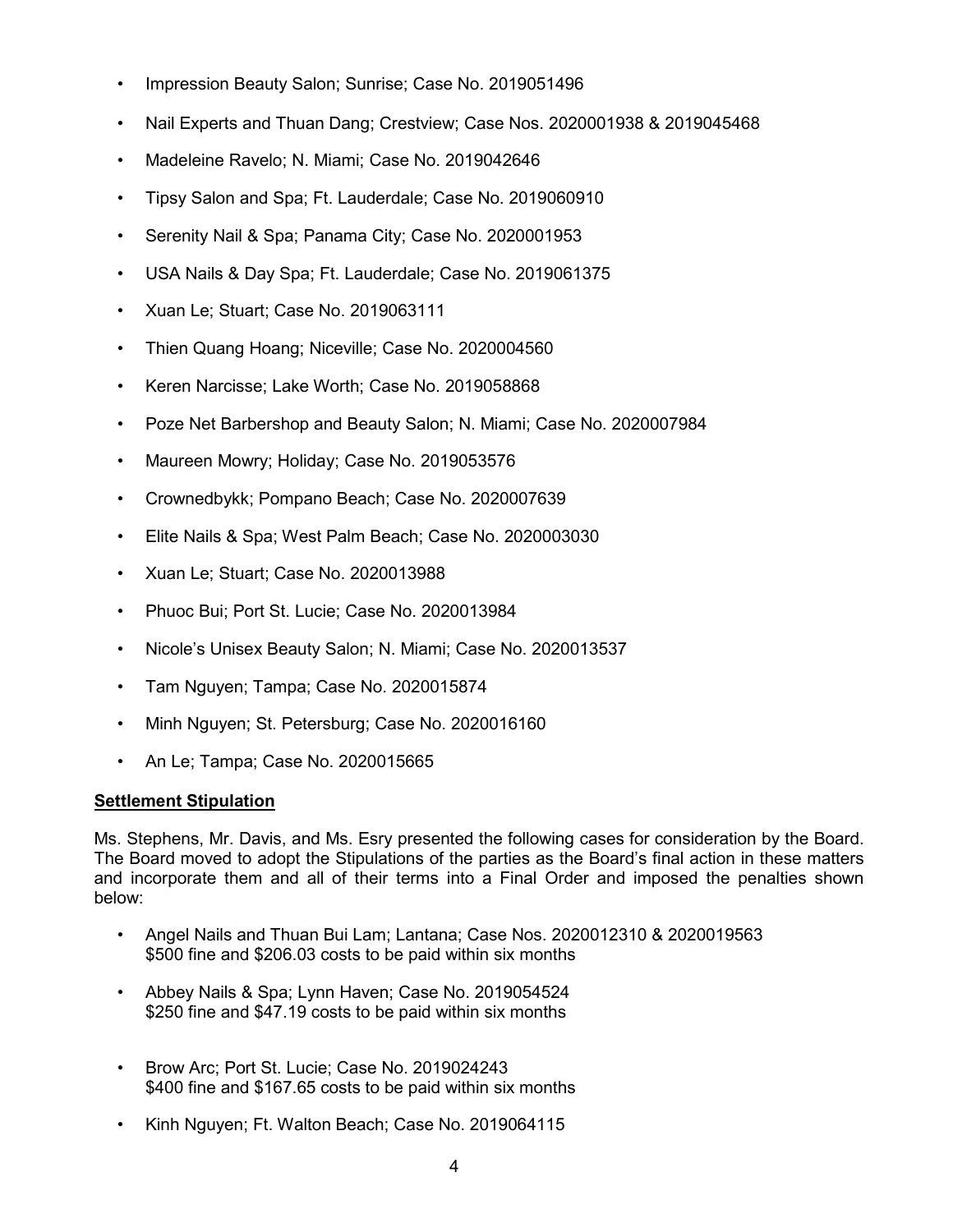- Impression Beauty Salon; Sunrise; Case No. 2019051496
- Nail Experts and Thuan Dang; Crestview; Case Nos. 2020001938 & 2019045468
- Madeleine Ravelo; N. Miami; Case No. 2019042646
- Tipsy Salon and Spa; Ft. Lauderdale; Case No. 2019060910
- Serenity Nail & Spa; Panama City; Case No. 2020001953
- USA Nails & Day Spa; Ft. Lauderdale; Case No. 2019061375
- Xuan Le; Stuart; Case No. 2019063111
- Thien Quang Hoang; Niceville; Case No. 2020004560
- Keren Narcisse; Lake Worth; Case No. 2019058868
- Poze Net Barbershop and Beauty Salon; N. Miami; Case No. 2020007984
- Maureen Mowry; Holiday; Case No. 2019053576
- Crownedbykk; Pompano Beach; Case No. 2020007639
- Elite Nails & Spa; West Palm Beach; Case No. 2020003030
- Xuan Le; Stuart; Case No. 2020013988
- Phuoc Bui; Port St. Lucie; Case No. 2020013984
- Nicole's Unisex Beauty Salon; N. Miami; Case No. 2020013537
- Tam Nguyen; Tampa; Case No. 2020015874
- Minh Nguyen; St. Petersburg; Case No. 2020016160
- An Le; Tampa; Case No. 2020015665

# **Settlement Stipulation**

Ms. Stephens, Mr. Davis, and Ms. Esry presented the following cases for consideration by the Board. The Board moved to adopt the Stipulations of the parties as the Board's final action in these matters and incorporate them and all of their terms into a Final Order and imposed the penalties shown below:

- Angel Nails and Thuan Bui Lam; Lantana; Case Nos. 2020012310 & 2020019563 \$500 fine and \$206.03 costs to be paid within six months
- Abbey Nails & Spa; Lynn Haven; Case No. 2019054524 \$250 fine and \$47.19 costs to be paid within six months
- Brow Arc; Port St. Lucie; Case No. 2019024243 \$400 fine and \$167.65 costs to be paid within six months
- Kinh Nguyen; Ft. Walton Beach; Case No. 2019064115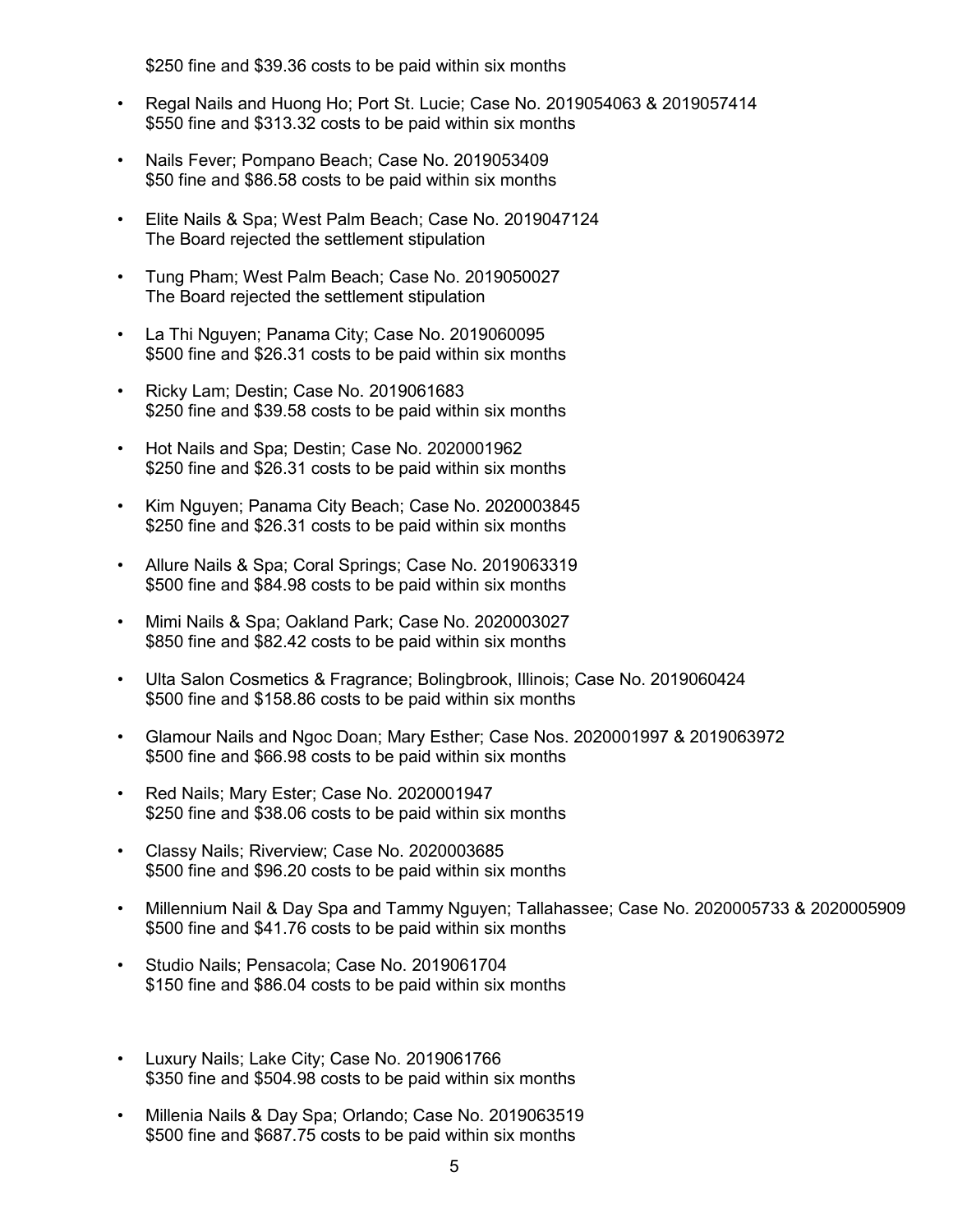\$250 fine and \$39.36 costs to be paid within six months

- Regal Nails and Huong Ho; Port St. Lucie; Case No. 2019054063 & 2019057414 \$550 fine and \$313.32 costs to be paid within six months
- Nails Fever; Pompano Beach; Case No. 2019053409 \$50 fine and \$86.58 costs to be paid within six months
- Elite Nails & Spa; West Palm Beach; Case No. 2019047124 The Board rejected the settlement stipulation
- Tung Pham; West Palm Beach; Case No. 2019050027 The Board rejected the settlement stipulation
- La Thi Nguyen; Panama City; Case No. 2019060095 \$500 fine and \$26.31 costs to be paid within six months
- Ricky Lam; Destin; Case No. 2019061683 \$250 fine and \$39.58 costs to be paid within six months
- Hot Nails and Spa; Destin; Case No. 2020001962 \$250 fine and \$26.31 costs to be paid within six months
- Kim Nguyen; Panama City Beach; Case No. 2020003845 \$250 fine and \$26.31 costs to be paid within six months
- Allure Nails & Spa; Coral Springs; Case No. 2019063319 \$500 fine and \$84.98 costs to be paid within six months
- Mimi Nails & Spa; Oakland Park; Case No. 2020003027 \$850 fine and \$82.42 costs to be paid within six months
- Ulta Salon Cosmetics & Fragrance; Bolingbrook, Illinois; Case No. 2019060424 \$500 fine and \$158.86 costs to be paid within six months
- Glamour Nails and Ngoc Doan; Mary Esther; Case Nos. 2020001997 & 2019063972 \$500 fine and \$66.98 costs to be paid within six months
- Red Nails; Mary Ester; Case No. 2020001947 \$250 fine and \$38.06 costs to be paid within six months
- Classy Nails; Riverview; Case No. 2020003685 \$500 fine and \$96.20 costs to be paid within six months
- Millennium Nail & Day Spa and Tammy Nguyen; Tallahassee; Case No. 2020005733 & 2020005909 \$500 fine and \$41.76 costs to be paid within six months
- Studio Nails; Pensacola; Case No. 2019061704 \$150 fine and \$86.04 costs to be paid within six months
- Luxury Nails; Lake City; Case No. 2019061766 \$350 fine and \$504.98 costs to be paid within six months
- Millenia Nails & Day Spa; Orlando; Case No. 2019063519 \$500 fine and \$687.75 costs to be paid within six months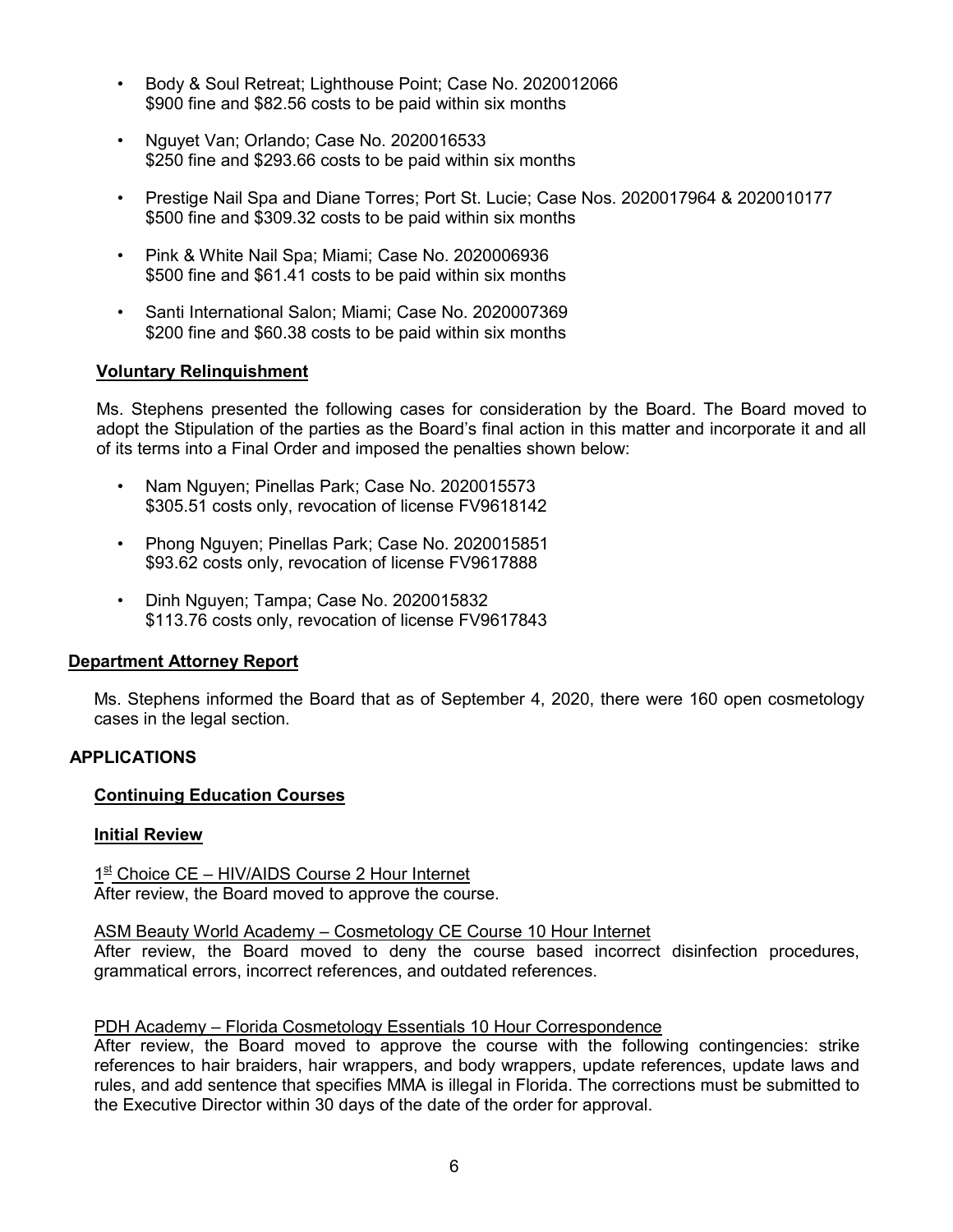- Body & Soul Retreat; Lighthouse Point; Case No. 2020012066 \$900 fine and \$82.56 costs to be paid within six months
- Nguyet Van; Orlando; Case No. 2020016533 \$250 fine and \$293.66 costs to be paid within six months
- Prestige Nail Spa and Diane Torres; Port St. Lucie; Case Nos. 2020017964 & 2020010177 \$500 fine and \$309.32 costs to be paid within six months
- Pink & White Nail Spa; Miami; Case No. 2020006936 \$500 fine and \$61.41 costs to be paid within six months
- Santi International Salon; Miami; Case No. 2020007369 \$200 fine and \$60.38 costs to be paid within six months

# **Voluntary Relinquishment**

Ms. Stephens presented the following cases for consideration by the Board. The Board moved to adopt the Stipulation of the parties as the Board's final action in this matter and incorporate it and all of its terms into a Final Order and imposed the penalties shown below:

- Nam Nguyen; Pinellas Park; Case No. 2020015573 \$305.51 costs only, revocation of license FV9618142
- Phong Nguyen; Pinellas Park; Case No. 2020015851 \$93.62 costs only, revocation of license FV9617888
- Dinh Nguyen; Tampa; Case No. 2020015832 \$113.76 costs only, revocation of license FV9617843

# **Department Attorney Report**

Ms. Stephens informed the Board that as of September 4, 2020, there were 160 open cosmetology cases in the legal section.

# **APPLICATIONS**

# **Continuing Education Courses**

# **Initial Review**

 $1<sup>st</sup>$  Choice CE – HIV/AIDS Course 2 Hour Internet After review, the Board moved to approve the course.

ASM Beauty World Academy – Cosmetology CE Course 10 Hour Internet

After review, the Board moved to deny the course based incorrect disinfection procedures, grammatical errors, incorrect references, and outdated references.

# PDH Academy – Florida Cosmetology Essentials 10 Hour Correspondence

After review, the Board moved to approve the course with the following contingencies: strike references to hair braiders, hair wrappers, and body wrappers, update references, update laws and rules, and add sentence that specifies MMA is illegal in Florida. The corrections must be submitted to the Executive Director within 30 days of the date of the order for approval.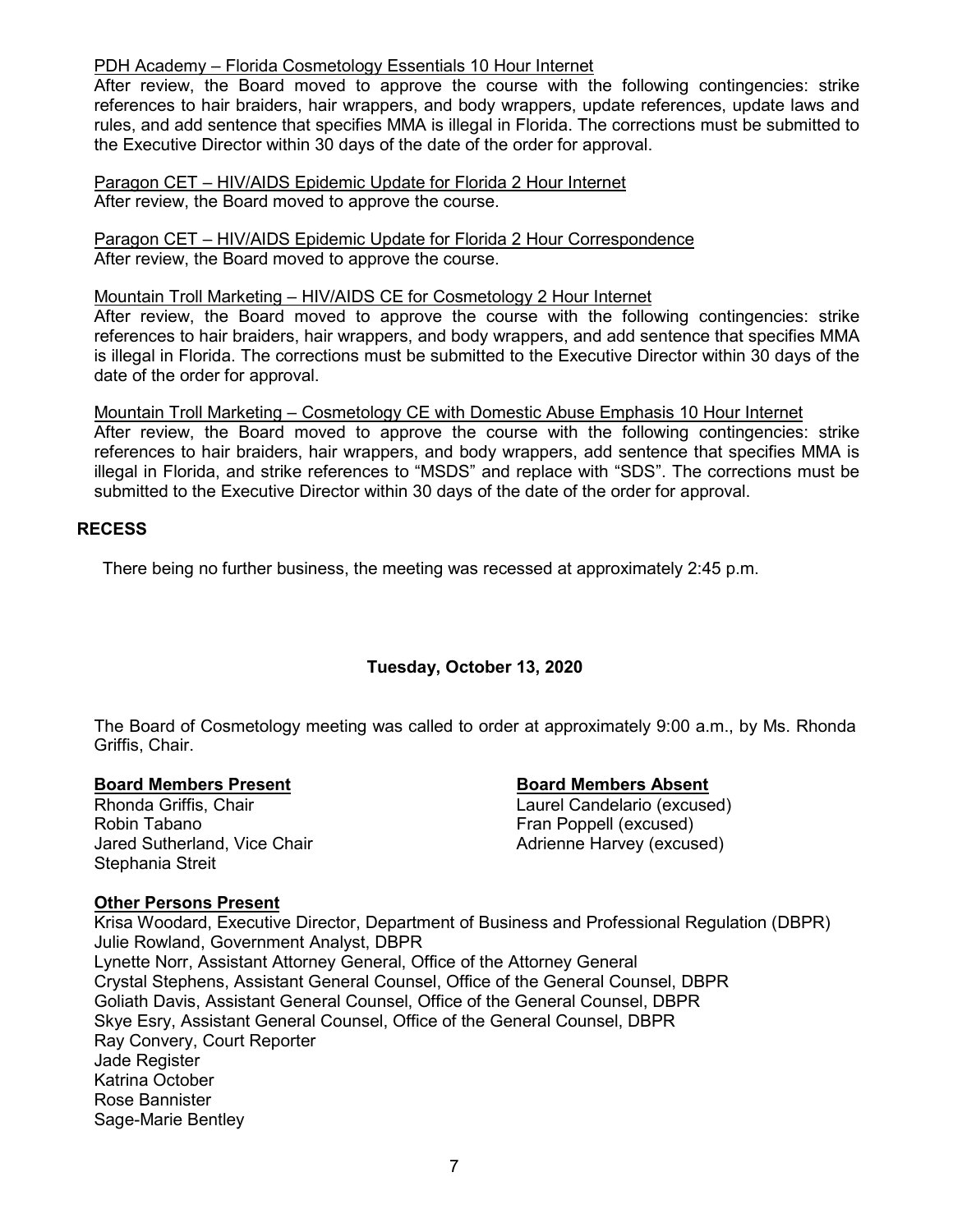### PDH Academy – Florida Cosmetology Essentials 10 Hour Internet

After review, the Board moved to approve the course with the following contingencies: strike references to hair braiders, hair wrappers, and body wrappers, update references, update laws and rules, and add sentence that specifies MMA is illegal in Florida. The corrections must be submitted to the Executive Director within 30 days of the date of the order for approval.

Paragon CET – HIV/AIDS Epidemic Update for Florida 2 Hour Internet After review, the Board moved to approve the course.

Paragon CET – HIV/AIDS Epidemic Update for Florida 2 Hour Correspondence After review, the Board moved to approve the course.

Mountain Troll Marketing – HIV/AIDS CE for Cosmetology 2 Hour Internet

After review, the Board moved to approve the course with the following contingencies: strike references to hair braiders, hair wrappers, and body wrappers, and add sentence that specifies MMA is illegal in Florida. The corrections must be submitted to the Executive Director within 30 days of the date of the order for approval.

Mountain Troll Marketing – Cosmetology CE with Domestic Abuse Emphasis 10 Hour Internet After review, the Board moved to approve the course with the following contingencies: strike references to hair braiders, hair wrappers, and body wrappers, add sentence that specifies MMA is illegal in Florida, and strike references to "MSDS" and replace with "SDS". The corrections must be submitted to the Executive Director within 30 days of the date of the order for approval.

# **RECESS**

There being no further business, the meeting was recessed at approximately 2:45 p.m.

# **Tuesday, October 13, 2020**

The Board of Cosmetology meeting was called to order at approximately 9:00 a.m., by Ms. Rhonda Griffis, Chair.

# **Board Members Present Board Members Absent**

Robin Tabano<br>
Jared Sutherland, Vice Chair<br>
Tran Poppell (excused)<br>
Adrienne Harvey (excused) Stephania Streit

Laurel Candelario (excused) Adrienne Harvey (excused)

# **Other Persons Present**

Krisa Woodard, Executive Director, Department of Business and Professional Regulation (DBPR) Julie Rowland, Government Analyst, DBPR Lynette Norr, Assistant Attorney General, Office of the Attorney General Crystal Stephens, Assistant General Counsel, Office of the General Counsel, DBPR Goliath Davis, Assistant General Counsel, Office of the General Counsel, DBPR Skye Esry, Assistant General Counsel, Office of the General Counsel, DBPR Ray Convery, Court Reporter Jade Register Katrina October Rose Bannister Sage-Marie Bentley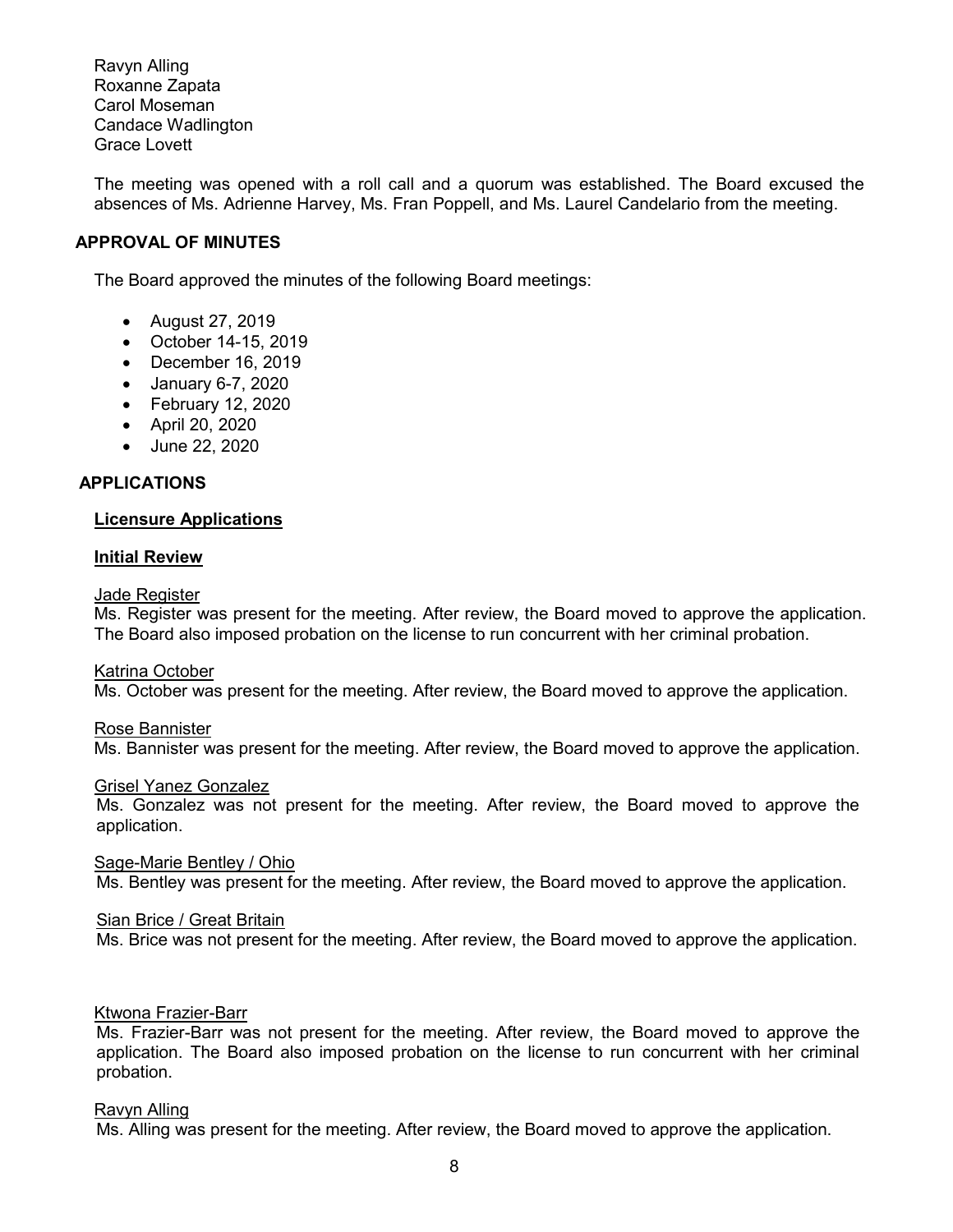Ravyn Alling Roxanne Zapata Carol Moseman Candace Wadlington Grace Lovett

The meeting was opened with a roll call and a quorum was established. The Board excused the absences of Ms. Adrienne Harvey, Ms. Fran Poppell, and Ms. Laurel Candelario from the meeting.

#### **APPROVAL OF MINUTES**

The Board approved the minutes of the following Board meetings:

- August 27, 2019
- October 14-15, 2019
- December 16, 2019
- January 6-7, 2020
- February 12, 2020
- April 20, 2020
- June 22, 2020

#### **APPLICATIONS**

#### **Licensure Applications**

#### **Initial Review**

#### Jade Register

Ms. Register was present for the meeting. After review, the Board moved to approve the application. The Board also imposed probation on the license to run concurrent with her criminal probation.

#### Katrina October

Ms. October was present for the meeting. After review, the Board moved to approve the application.

# Rose Bannister

Ms. Bannister was present for the meeting. After review, the Board moved to approve the application.

# Grisel Yanez Gonzalez

Ms. Gonzalez was not present for the meeting. After review, the Board moved to approve the application.

Sage-Marie Bentley / Ohio Ms. Bentley was present for the meeting. After review, the Board moved to approve the application.

# Sian Brice / Great Britain

Ms. Brice was not present for the meeting. After review, the Board moved to approve the application.

# Ktwona Frazier-Barr

Ms. Frazier-Barr was not present for the meeting. After review, the Board moved to approve the application. The Board also imposed probation on the license to run concurrent with her criminal probation.

# Ravyn Alling

Ms. Alling was present for the meeting. After review, the Board moved to approve the application.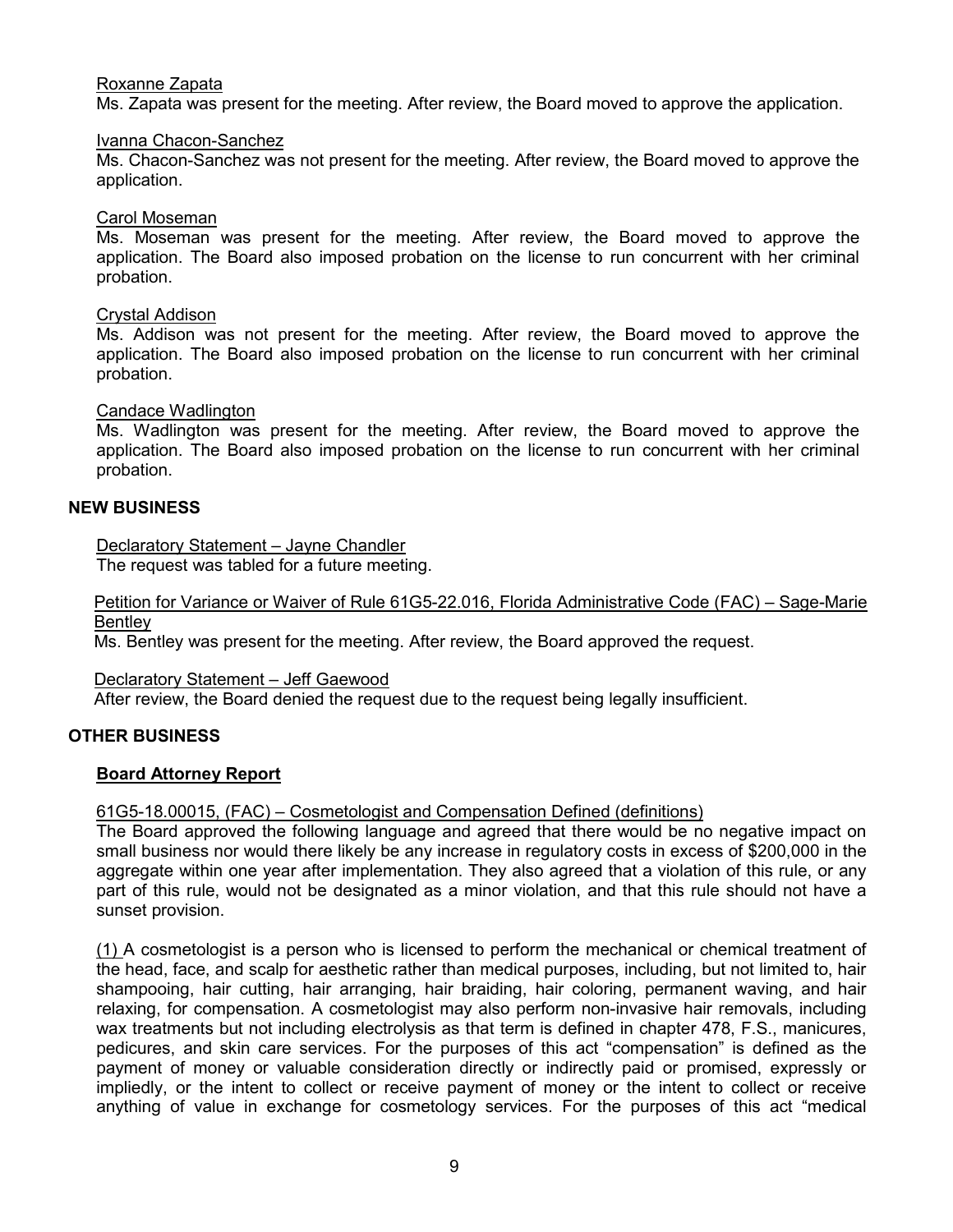#### Roxanne Zapata

Ms. Zapata was present for the meeting. After review, the Board moved to approve the application.

#### Ivanna Chacon-Sanchez

Ms. Chacon-Sanchez was not present for the meeting. After review, the Board moved to approve the application.

#### Carol Moseman

Ms. Moseman was present for the meeting. After review, the Board moved to approve the application. The Board also imposed probation on the license to run concurrent with her criminal probation.

#### Crystal Addison

Ms. Addison was not present for the meeting. After review, the Board moved to approve the application. The Board also imposed probation on the license to run concurrent with her criminal probation.

#### Candace Wadlington

Ms. Wadlington was present for the meeting. After review, the Board moved to approve the application. The Board also imposed probation on the license to run concurrent with her criminal probation.

#### **NEW BUSINESS**

Declaratory Statement – Jayne Chandler

The request was tabled for a future meeting.

Petition for Variance or Waiver of Rule 61G5-22.016, Florida Administrative Code (FAC) – Sage-Marie **Bentley** 

Ms. Bentley was present for the meeting. After review, the Board approved the request.

Declaratory Statement – Jeff Gaewood

After review, the Board denied the request due to the request being legally insufficient.

#### **OTHER BUSINESS**

#### **Board Attorney Report**

#### 61G5-18.00015, (FAC) – Cosmetologist and Compensation Defined (definitions)

The Board approved the following language and agreed that there would be no negative impact on small business nor would there likely be any increase in regulatory costs in excess of \$200,000 in the aggregate within one year after implementation. They also agreed that a violation of this rule, or any part of this rule, would not be designated as a minor violation, and that this rule should not have a sunset provision.

(1) A cosmetologist is a person who is licensed to perform the mechanical or chemical treatment of the head, face, and scalp for aesthetic rather than medical purposes, including, but not limited to, hair shampooing, hair cutting, hair arranging, hair braiding, hair coloring, permanent waving, and hair relaxing, for compensation. A cosmetologist may also perform non-invasive hair removals, including wax treatments but not including electrolysis as that term is defined in chapter 478, F.S., manicures, pedicures, and skin care services. For the purposes of this act "compensation" is defined as the payment of money or valuable consideration directly or indirectly paid or promised, expressly or impliedly, or the intent to collect or receive payment of money or the intent to collect or receive anything of value in exchange for cosmetology services. For the purposes of this act "medical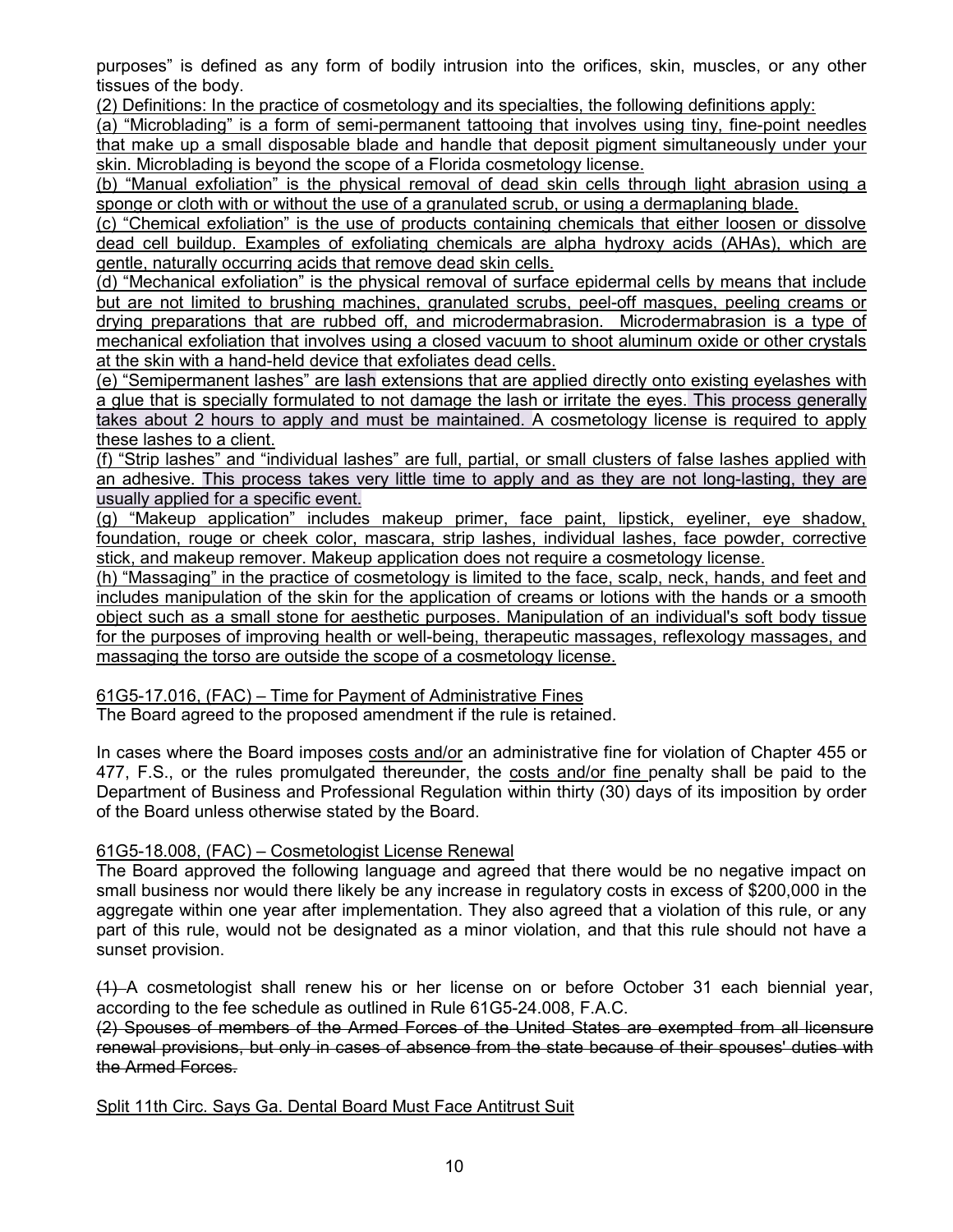purposes" is defined as any form of bodily intrusion into the orifices, skin, muscles, or any other tissues of the body.

(2) Definitions: In the practice of cosmetology and its specialties, the following definitions apply:

(a) "Microblading" is a form of semi-permanent tattooing that involves using tiny, fine-point needles that make up a small disposable blade and handle that deposit pigment simultaneously under your skin. Microblading is beyond the scope of a Florida cosmetology license.

(b) "Manual exfoliation" is the physical removal of dead skin cells through light abrasion using a sponge or cloth with or without the use of a granulated scrub, or using a dermaplaning blade.

(c) "Chemical exfoliation" is the use of products containing chemicals that either loosen or dissolve dead cell buildup. Examples of exfoliating chemicals are alpha hydroxy acids (AHAs), which are gentle, naturally occurring acids that remove dead skin cells.

(d) "Mechanical exfoliation" is the physical removal of surface epidermal cells by means that include but are not limited to brushing machines, granulated scrubs, peel-off masques, peeling creams or drying preparations that are rubbed off, and microdermabrasion. Microdermabrasion is a type of mechanical exfoliation that involves using a closed vacuum to shoot aluminum oxide or other crystals at the skin with a hand-held device that exfoliates dead cells.

(e) "Semipermanent lashes" are lash extensions that are applied directly onto existing eyelashes with a glue that is specially formulated to not damage the lash or irritate the eyes. This process generally takes about 2 hours to apply and must be maintained. A cosmetology license is required to apply these lashes to a client.

(f) "Strip lashes" and "individual lashes" are full, partial, or small clusters of false lashes applied with an adhesive. This process takes very little time to apply and as they are not long-lasting, they are usually applied for a specific event.

(g) "Makeup application" includes makeup primer, face paint, lipstick, eyeliner, eye shadow, foundation, rouge or cheek color, mascara, strip lashes, individual lashes, face powder, corrective stick, and makeup remover. Makeup application does not require a cosmetology license.

(h) "Massaging" in the practice of cosmetology is limited to the face, scalp, neck, hands, and feet and includes manipulation of the skin for the application of creams or lotions with the hands or a smooth object such as a small stone for aesthetic purposes. Manipulation of an individual's soft body tissue for the purposes of improving health or well-being, therapeutic massages, reflexology massages, and massaging the torso are outside the scope of a cosmetology license.

61G5-17.016, (FAC) – Time for Payment of Administrative Fines

The Board agreed to the proposed amendment if the rule is retained.

In cases where the Board imposes costs and/or an administrative fine for violation of Chapter 455 or 477, F.S., or the rules promulgated thereunder, the costs and/or fine penalty shall be paid to the Department of Business and Professional Regulation within thirty (30) days of its imposition by order of the Board unless otherwise stated by the Board.

# 61G5-18.008, (FAC) – Cosmetologist License Renewal

The Board approved the following language and agreed that there would be no negative impact on small business nor would there likely be any increase in regulatory costs in excess of \$200,000 in the aggregate within one year after implementation. They also agreed that a violation of this rule, or any part of this rule, would not be designated as a minor violation, and that this rule should not have a sunset provision.

(1) A cosmetologist shall renew his or her license on or before October 31 each biennial year, according to the fee schedule as outlined in Rule 61G5-24.008, F.A.C.

(2) Spouses of members of the Armed Forces of the United States are exempted from all licensure renewal provisions, but only in cases of absence from the state because of their spouses' duties with the Armed Forces.

Split 11th Circ. Says Ga. Dental Board Must Face Antitrust Suit